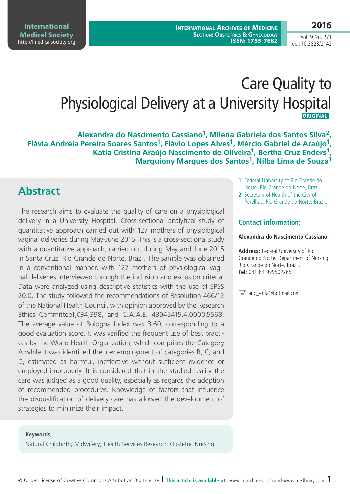**International Archives of Medicine SECTION: OBSTETRICS & GYNECOLOGY ISSN: 1755-7682**

#### **2016**

Vol. 9 No. 271 doi: 10.3823/2142

# Care Quality to Physiological Delivery at a University Hospital  **ORIGINAL**

**Alexandra do Nascimento Cassiano1, Milena Gabriela dos Santos Silva2,**  Flávia Andréia Pereira Soares Santos<sup>1</sup>, Flávio Lopes Alves<sup>1</sup>, Mércio Gabriel de Araújo<sup>1</sup>, **Kátia Cristina Araújo Nascimento de Oliveira1, Bertha Cruz Enders1, Marquiony Marques dos Santos1, Nilba Lima de Souza1**

# **Abstract**

The research aims to evaluate the quality of care on a physiological delivery in a University Hospital. Cross-sectional analytical study of quantitative approach carried out with 127 mothers of physiological vaginal deliveries during May-June 2015. This is a cross-sectional study with a quantitative approach, carried out during May and June 2015 in Santa Cruz, Rio Grande do Norte, Brazil. The sample was obtained in a conventional manner, with 127 mothers of physiological vaginal deliveries interviewed through the inclusion and exclusion criteria. Data were analyzed using descriptive statistics with the use of SPSS 20.0. The study followed the recommendations of Resolution 466/12 of the National Health Council, with opinion approved by the Research Ethics Committee1,034,398, and C.A.A.E. 43945415.4.0000.5568. The average value of Bologna Index was 3.60, corresponding to a good evaluation score. It was verified the frequent use of best practices by the World Health Organization, which comprises the Category A while it was identified the low employment of categories B, C, and D, estimated as harmful, ineffective without sufficient evidence or employed improperly. It is considered that in the studied reality the care was judged as a good quality, especially as regards the adoption of recommended procedures. Knowledge of factors that influence the disqualification of delivery care has allowed the development of strategies to minimize their impact.

#### **Keywords**

Natural Childbirth; Midwifery; Health Services Research; Obstetric Nursing.

- **1** Federal University of Rio Grande do Norte. Rio Grande do Norte, Brazil.
- **2** Secretary of Health of the City of Parelhas. Rio Grande do Norte, Brazil.

#### **Contact information:**

#### **Alexandra do Nascimento Cassiano.**

**Address:** Federal University of Rio Grande do Norte. Department of Nursing. Rio Grande do Norte, Brazil. **Tel:** 041 84 999502265.

 $\equiv$  anc enfa@hotmail.com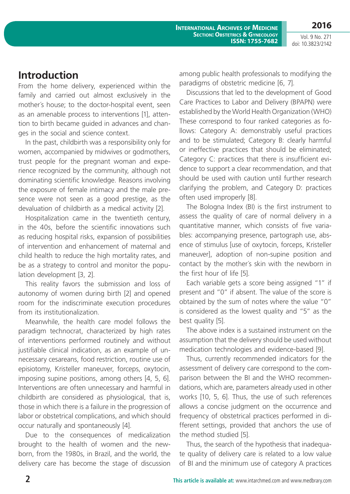**2016**

Vol. 9 No. 271 doi: 10.3823/2142

# **Introduction**

From the home delivery, experienced within the family and carried out almost exclusively in the mother´s house; to the doctor-hospital event, seen as an amenable process to interventions [1], attention to birth became guided in advances and changes in the social and science context.

In the past, childbirth was a responsibility only for women, accompanied by midwives or godmothers, trust people for the pregnant woman and experience recognized by the community, although not dominating scientific knowledge. Reasons involving the exposure of female intimacy and the male presence were not seen as a good prestige, as the devaluation of childbirth as a medical activity [2].

Hospitalization came in the twentieth century, in the 40s, before the scientific innovations such as reducing hospital risks, expansion of possibilities of intervention and enhancement of maternal and child health to reduce the high mortality rates, and be as a strategy to control and monitor the population development [3, 2].

This reality favors the submission and loss of autonomy of women during birth [2] and opened room for the indiscriminate execution procedures from its institutionalization.

Meanwhile, the health care model follows the paradigm technocrat, characterized by high rates of interventions performed routinely and without justifiable clinical indication, as an example of unnecessary cesareans, food restriction, routine use of episiotomy, Kristeller maneuver, forceps, oxytocin, imposing supine positions, among others [4, 5, 6]. Interventions are often unnecessary and harmful in childbirth are considered as physiological, that is, those in which there is a failure in the progression of labor or obstetrical complications, and which should occur naturally and spontaneously [4].

Due to the consequences of medicalization brought to the health of women and the newborn, from the 1980s, in Brazil, and the world, the delivery care has become the stage of discussion among public health professionals to modifying the paradigms of obstetric medicine [6, 7].

Discussions that led to the development of Good Care Practices to Labor and Delivery (BPAPN) were established by the World Health Organization (WHO) These correspond to four ranked categories as follows: Category A: demonstrably useful practices and to be stimulated; Category B: clearly harmful or ineffective practices that should be eliminated; Category C: practices that there is insufficient evidence to support a clear recommendation, and that should be used with caution until further research clarifying the problem, and Category D: practices often used improperly [8].

The Bologna Index (BI) is the first instrument to assess the quality of care of normal delivery in a quantitative manner, which consists of five variables: accompanying presence, partograph use, absence of stimulus [use of oxytocin, forceps, Kristeller maneuver], adoption of non-supine position and contact by the mother´s skin with the newborn in the first hour of life [5].

Each variable gets a score being assigned "1" if present and "0" if absent. The value of the score is obtained by the sum of notes where the value "0" is considered as the lowest quality and "5" as the best quality [5].

The above index is a sustained instrument on the assumption that the delivery should be used without medication technologies and evidence-based [9].

Thus, currently recommended indicators for the assessment of delivery care correspond to the comparison between the BI and the WHO recommendations, which are, parameters already used in other works [10, 5, 6]. Thus, the use of such references allows a concise judgment on the occurrence and frequency of obstetrical practices performed in different settings, provided that anchors the use of the method studied [5].

Thus, the search of the hypothesis that inadequate quality of delivery care is related to a low value of BI and the minimum use of category A practices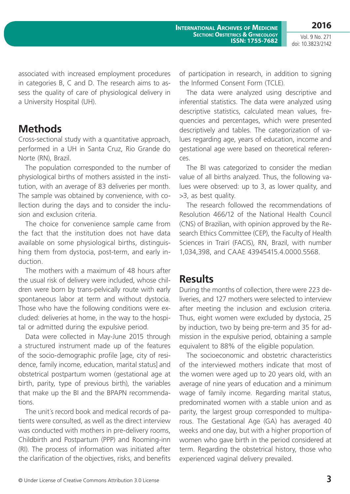associated with increased employment procedures in categories B, C and D. The research aims to assess the quality of care of physiological delivery in a University Hospital (UH).

### **Methods**

Cross-sectional study with a quantitative approach, performed in a UH in Santa Cruz, Rio Grande do Norte (RN), Brazil.

The population corresponded to the number of physiological births of mothers assisted in the institution, with an average of 83 deliveries per month. The sample was obtained by convenience, with collection during the days and to consider the inclusion and exclusion criteria.

The choice for convenience sample came from the fact that the institution does not have data available on some physiological births, distinguishing them from dystocia, post-term, and early induction.

The mothers with a maximum of 48 hours after the usual risk of delivery were included, whose children were born by trans-pelvically route with early spontaneous labor at term and without dystocia. Those who have the following conditions were excluded: deliveries at home, in the way to the hospital or admitted during the expulsive period.

Data were collected in May-June 2015 through a structured instrument made up of the features of the socio-demographic profile [age, city of residence, family income, education, marital status] and obstetrical postpartum women (gestational age at birth, parity, type of previous birth), the variables that make up the BI and the BPAPN recommendations.

The unit´s record book and medical records of patients were consulted, as well as the direct interview was conducted with mothers in pre-delivery rooms, Childbirth and Postpartum (PPP) and Rooming-inn (RI). The process of information was initiated after the clarification of the objectives, risks, and benefits of participation in research, in addition to signing the Informed Consent Form (TCLE).

The data were analyzed using descriptive and inferential statistics. The data were analyzed using descriptive statistics, calculated mean values, frequencies and percentages, which were presented descriptively and tables. The categorization of values regarding age, years of education, income and gestational age were based on theoretical references.

The BI was categorized to consider the median value of all births analyzed. Thus, the following values were observed: up to 3, as lower quality, and >3, as best quality.

The research followed the recommendations of Resolution 466/12 of the National Health Council (CNS) of Brazilian, with opinion approved by the Research Ethics Committee (CEP), the Faculty of Health Sciences in Trairí (FACIS), RN, Brazil, with number 1,034,398, and CAAE 43945415.4.0000.5568.

#### **Results**

During the months of collection, there were 223 deliveries, and 127 mothers were selected to interview after meeting the inclusion and exclusion criteria. Thus, eight women were excluded by dystocia, 25 by induction, two by being pre-term and 35 for admission in the expulsive period, obtaining a sample equivalent to 88% of the eligible population.

The socioeconomic and obstetric characteristics of the interviewed mothers indicate that most of the women were aged up to 20 years old, with an average of nine years of education and a minimum wage of family income. Regarding marital status, predominated women with a stable union and as parity, the largest group corresponded to multiparous. The Gestational Age (GA) has averaged 40 weeks and one day, but with a higher proportion of women who gave birth in the period considered at term. Regarding the obstetrical history, those who experienced vaginal delivery prevailed.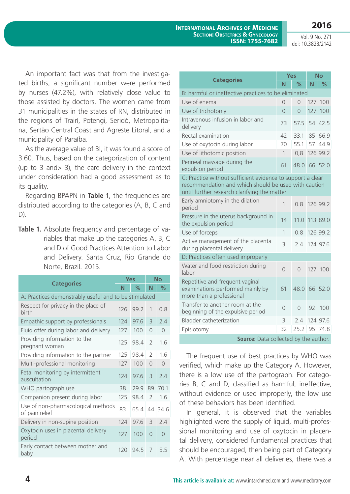**2016**

Vol. 9 No. 271 doi: 10.3823/2142

An important fact was that from the investigated births, a significant number were performed by nurses (47.2%), with relatively close value to those assisted by doctors. The women came from 31 municipalities in the states of RN, distributed in the regions of Trairí, Potengi, Seridó, Metropolitana, Sertão Central Coast and Agreste Litoral, and a municipality of Paraíba.

As the average value of BI, it was found a score of 3.60. Thus, based on the categorization of content (up to 3 and> 3), the care delivery in the context under consideration had a good assessment as to its quality.

Regarding BPAPN in **Table 1**, the frequencies are distributed according to the categories (A, B, C and  $D)$ .

Table 1. Absolute frequency and percentage of variables that make up the categories A, B, C and D of Good Practices Attention to Labor and Delivery. Santa Cruz, Rio Grande do Norte, Brazil. 2015.

| <b>Categories</b>                                     |     | Yes  | <b>No</b>                |           |  |  |  |
|-------------------------------------------------------|-----|------|--------------------------|-----------|--|--|--|
|                                                       |     | $\%$ | N                        | $\%$      |  |  |  |
| A: Practices demonstrably useful and to be stimulated |     |      |                          |           |  |  |  |
| Respect for privacy in the place of<br>birth          | 126 | 99.2 | 1                        | 0.8       |  |  |  |
| Empathic support by professionals                     | 124 | 97.6 | 3                        | 2.4       |  |  |  |
| Fluid offer during labor and delivery                 | 127 | 100  | $\Omega$                 | $\Omega$  |  |  |  |
| Providing information to the<br>pregnant woman        | 125 | 98.4 | $\overline{\phantom{0}}$ | 1.6       |  |  |  |
| Providing information to the partner                  | 125 | 98.4 | $\mathcal{P}$            | 1.6       |  |  |  |
| Multi-professional monitoring                         | 127 | 100  | $\bigcap$                | $\Omega$  |  |  |  |
| Fetal monitoring by intermittent<br>auscultation      | 124 | 97.6 | 3                        | 7.4       |  |  |  |
| WHO partograph use                                    | 38  | 29.9 | 89                       | 70.1      |  |  |  |
| Companion present during labor                        | 125 | 98.4 | $\mathcal{P}$            | 1.6       |  |  |  |
| Use of non-pharmacological methods<br>of pain relief  | 83  | 65.4 |                          | 44 34 6   |  |  |  |
| Delivery in non-supine position                       | 124 | 97.6 | 3                        | 2.4       |  |  |  |
| Oxytocin uses in placental delivery<br>period         | 127 | 100  | $\Omega$                 | $\bigcap$ |  |  |  |
| Early contact between mother and<br>baby              | 120 | 94.5 | 7                        | 5.5       |  |  |  |

|                                                                                                                                                                    |                | Yes            | <b>No</b> |               |  |  |  |
|--------------------------------------------------------------------------------------------------------------------------------------------------------------------|----------------|----------------|-----------|---------------|--|--|--|
| <b>Categories</b>                                                                                                                                                  |                | %              | N         | $\frac{1}{2}$ |  |  |  |
| B: harmful or ineffective practices to be eliminated                                                                                                               |                |                |           |               |  |  |  |
| Use of enema                                                                                                                                                       | $\Omega$       | 0              | 127       | 100           |  |  |  |
| Use of trichotomy                                                                                                                                                  | $\overline{O}$ | $\overline{O}$ | 127       | 100           |  |  |  |
| Intravenous infusion in labor and<br>delivery                                                                                                                      | 73             | 57.5           |           | 54 42.5       |  |  |  |
| Rectal examination                                                                                                                                                 | 42             | 33.1           |           | 85 66.9       |  |  |  |
| Use of oxytocin during labor                                                                                                                                       | 70             | 55.1           |           | 57 44.9       |  |  |  |
| Use of lithotomic position                                                                                                                                         | 1              | 0,8            |           | 126 99.2      |  |  |  |
| Perineal massage during the<br>expulsion period                                                                                                                    | 61             | 48.0           | 66        | 52.0          |  |  |  |
| C: Practice without sufficient evidence to support a clear<br>recommendation and which should be used with caution<br>until further research clarifying the matter |                |                |           |               |  |  |  |
| Early amniotomy in the dilation<br>period                                                                                                                          | 1              | 0.8            |           | 126 99.2      |  |  |  |
| Pressure in the uterus background in<br>the expulsion period                                                                                                       | 14             | 11.0           |           | 113 89.0      |  |  |  |
| Use of forceps                                                                                                                                                     | $\mathbf{1}$   | 0.8            |           | 126 99.2      |  |  |  |
| Active management of the placenta<br>during placental delivery                                                                                                     | 3              | 7.4            |           | 124 97.6      |  |  |  |
| D: Practices often used improperly                                                                                                                                 |                |                |           |               |  |  |  |
| Water and food restriction during<br>labor                                                                                                                         | $\Omega$       | $\overline{O}$ |           | 127 100       |  |  |  |
| Repetitive and frequent vaginal<br>examinations performed mainly by<br>more than a professional                                                                    | 61             | 48.0           | 66        | 52.0          |  |  |  |
| Transfer to another room at the<br>beginning of the expulsive period                                                                                               | $\Omega$       | $\overline{0}$ | 92        | 100           |  |  |  |
| <b>Bladder catheterization</b>                                                                                                                                     | 3              | 2.4            |           | 124 97.6      |  |  |  |
| Episiotomy                                                                                                                                                         | 32             | 25.2           |           | 95 74.8       |  |  |  |
| Source: Data collected by the author.                                                                                                                              |                |                |           |               |  |  |  |

The frequent use of best practices by WHO was verified, which make up the Category A. However, there is a low use of the partograph. For categories B, C and D, classified as harmful, ineffective, without evidence or used improperly, the low use of these behaviors has been identified.

In general, it is observed that the variables highlighted were the supply of liquid, multi-professional monitoring and use of oxytocin in placental delivery, considered fundamental practices that should be encouraged, then being part of Category A. With percentage near all deliveries, there was a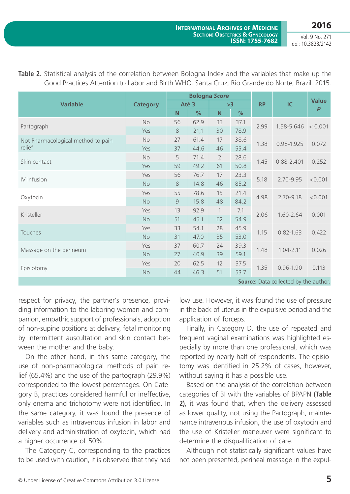|                                       |                 | <b>Bologna Score</b> |               |                |      |           | IC            | <b>Value</b> |
|---------------------------------------|-----------------|----------------------|---------------|----------------|------|-----------|---------------|--------------|
| <b>Variable</b>                       | <b>Category</b> | Até 3                |               | >3             |      | <b>RP</b> |               |              |
|                                       |                 | N                    | $\frac{9}{6}$ | N              | %    |           |               | p            |
| Partograph                            | <b>No</b>       | 56                   | 62.9          | 33             | 37.1 | 2.99      | 1.58-5.646    | < 0.001      |
|                                       | Yes             | $\,8\,$              | 21,1          | 30             | 78.9 |           |               |              |
| Not Pharmacological method to pain    | No              | 27                   | 61.4          | 17             | 38.6 | 1.38      | 0.98-1.925    | 0.072        |
| relief                                | Yes             | 37                   | 44.6          | 46             | 55.4 |           |               |              |
| Skin contact                          | <b>No</b>       | 5                    | 71.4          | $\overline{2}$ | 28.6 | 1.45      | 0.88-2.401    | 0.252        |
|                                       | Yes             | 59                   | 49.2          | 61             | 50.8 |           |               |              |
| IV infusion                           | Yes             | 56                   | 76.7          | 17             | 23.3 | 5.18      | 2.70-9.95     | < 0.001      |
|                                       | <b>No</b>       | $\,8\,$              | 14.8          | 46             | 85.2 |           |               |              |
| Oxytocin                              | Yes             | 55                   | 78.6          | 15             | 21.4 | 4.98      | 2.70-9.18     | < 0.001      |
|                                       | <b>No</b>       | 9                    | 15.8          | 48             | 84.2 |           |               |              |
| Kristeller                            | Yes             | 13                   | 92.9          | $\mathbf{1}$   | 7.1  | 2.06      | 1.60-2.64     | 0.001        |
|                                       | <b>No</b>       | 51                   | 45.1          | 62             | 54.9 |           |               |              |
| <b>Touches</b>                        | Yes             | 33                   | 54.1          | 28             | 45.9 | 1.15      | $0.82 - 1.63$ | 0.422        |
|                                       | <b>No</b>       | 31                   | 47.0          | 35             | 53.0 |           |               |              |
| Massage on the perineum               | Yes             | 37                   | 60.7          | 24             | 39.3 | 1.48      | $1.04 - 2.11$ | 0.026        |
|                                       | <b>No</b>       | 27                   | 40.9          | 39             | 59.1 |           |               |              |
| Episiotomy                            | Yes             | 20                   | 62.5          | 12             | 37.5 | 1.35      | $0.96 - 1.90$ | 0.113        |
|                                       | <b>No</b>       | 44                   | 46.3          | 51             | 53.7 |           |               |              |
| Source: Data collected by the author. |                 |                      |               |                |      |           |               |              |

**Table 2.** Statistical analysis of the correlation between Bologna Index and the variables that make up the Good Practices Attention to Labor and Birth WHO. Santa Cruz, Rio Grande do Norte, Brazil. 2015.

respect for privacy, the partner's presence, providing information to the laboring woman and companion, empathic support of professionals, adoption of non-supine positions at delivery, fetal monitoring by intermittent auscultation and skin contact between the mother and the baby.

On the other hand, in this same category, the use of non-pharmacological methods of pain relief (65.4%) and the use of the partograph (29.9%) corresponded to the lowest percentages. On Category B, practices considered harmful or ineffective, only enema and trichotomy were not identified. In the same category, it was found the presence of variables such as intravenous infusion in labor and delivery and administration of oxytocin, which had a higher occurrence of 50%.

The Category C, corresponding to the practices to be used with caution, it is observed that they had low use. However, it was found the use of pressure in the back of uterus in the expulsive period and the application of forceps.

Finally, in Category D, the use of repeated and frequent vaginal examinations was highlighted especially by more than one professional, which was reported by nearly half of respondents. The episiotomy was identified in 25.2% of cases, however, without saying it has a possible use.

Based on the analysis of the correlation between categories of BI with the variables of BPAPN **(Table 2)**, it was found that, when the delivery assessed as lower quality, not using the Partograph, maintenance intravenous infusion, the use of oxytocin and the use of Kristeller maneuver were significant to determine the disqualification of care.

Although not statistically significant values have not been presented, perineal massage in the expul-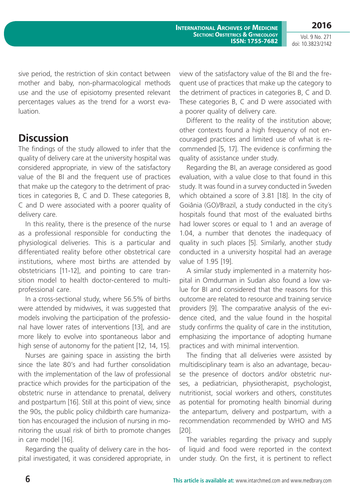**2016**

Vol. 9 No. 271 doi: 10.3823/2142

sive period, the restriction of skin contact between mother and baby, non-pharmacological methods use and the use of episiotomy presented relevant percentages values as the trend for a worst evaluation.

### **Discussion**

The findings of the study allowed to infer that the quality of delivery care at the university hospital was considered appropriate, in view of the satisfactory value of the BI and the frequent use of practices that make up the category to the detriment of practices in categories B, C and D. These categories B, C and D were associated with a poorer quality of delivery care.

In this reality, there is the presence of the nurse as a professional responsible for conducting the physiological deliveries. This is a particular and differentiated reality before other obstetrical care institutions, where most births are attended by obstetricians [11-12], and pointing to care transition model to health doctor-centered to multiprofessional care.

In a cross-sectional study, where 56.5% of births were attended by midwives, it was suggested that models involving the participation of the professional have lower rates of interventions [13], and are more likely to evolve into spontaneous labor and high sense of autonomy for the patient [12, 14, 15].

Nurses are gaining space in assisting the birth since the late 80's and had further consolidation with the implementation of the law of professional practice which provides for the participation of the obstetric nurse in attendance to prenatal, delivery and postpartum [16]. Still at this point of view, since the 90s, the public policy childbirth care humanization has encouraged the inclusion of nursing in monitoring the usual risk of birth to promote changes in care model [16].

Regarding the quality of delivery care in the hospital investigated, it was considered appropriate, in view of the satisfactory value of the BI and the frequent use of practices that make up the category to the detriment of practices in categories B, C and D. These categories B, C and D were associated with a poorer quality of delivery care.

Different to the reality of the institution above; other contexts found a high frequency of not encouraged practices and limited use of what is recommended [5, 17]. The evidence is confirming the quality of assistance under study.

Regarding the BI, an average considered as good evaluation, with a value close to that found in this study. It was found in a survey conducted in Sweden which obtained a score of 3.81 [18]. In the city of Goiânia (GO)/Brazil, a study conducted in the city´s hospitals found that most of the evaluated births had lower scores or equal to 1 and an average of 1.04, a number that denotes the inadequacy of quality in such places [5]. Similarly, another study conducted in a university hospital had an average value of 1.95 [19].

A similar study implemented in a maternity hospital in Omdurman in Sudan also found a low value for BI and considered that the reasons for this outcome are related to resource and training service providers [9]. The comparative analysis of the evidence cited, and the value found in the hospital study confirms the quality of care in the institution, emphasizing the importance of adopting humane practices and with minimal intervention.

The finding that all deliveries were assisted by multidisciplinary team is also an advantage, because the presence of doctors and/or obstetric nurses, a pediatrician, physiotherapist, psychologist, nutritionist, social workers and others, constitutes as potential for promoting health binomial during the antepartum, delivery and postpartum, with a recommendation recommended by WHO and MS [20].

The variables regarding the privacy and supply of liquid and food were reported in the context under study. On the first, it is pertinent to reflect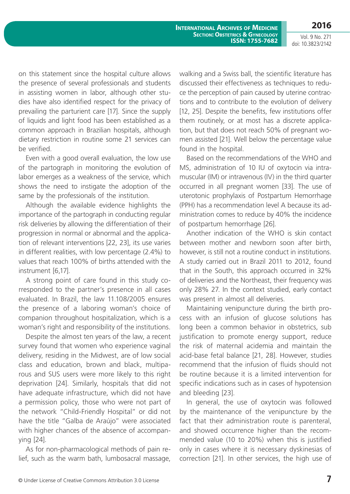**International Archives of Medicine SECTION: OBSTETRICS & GYNECOLOGY ISSN: 1755-7682**

Vol. 9 No. 271 doi: 10.3823/2142

**2016**

on this statement since the hospital culture allows the presence of several professionals and students in assisting women in labor, although other studies have also identified respect for the privacy of prevailing the parturient care [17]. Since the supply of liquids and light food has been established as a common approach in Brazilian hospitals, although dietary restriction in routine some 21 services can be verified.

Even with a good overall evaluation, the low use of the partograph in monitoring the evolution of labor emerges as a weakness of the service, which shows the need to instigate the adoption of the same by the professionals of the institution.

Although the available evidence highlights the importance of the partograph in conducting regular risk deliveries by allowing the differentiation of their progression in normal or abnormal and the application of relevant interventions [22, 23], its use varies in different realities, with low percentage (2.4%) to values that reach 100% of births attended with the instrument [6,17].

A strong point of care found in this study corresponded to the partner's presence in all cases evaluated. In Brazil, the law 11.108/2005 ensures the presence of a laboring woman's choice of companion throughout hospitalization, which is a woman's right and responsibility of the institutions.

Despite the almost ten years of the law, a recent survey found that women who experience vaginal delivery, residing in the Midwest, are of low social class and education, brown and black, multiparous and SUS users were more likely to this right deprivation [24]. Similarly, hospitals that did not have adequate infrastructure, which did not have a permission policy, those who were not part of the network "Child-Friendly Hospital" or did not have the title "Galba de Araújo" were associated with higher chances of the absence of accompanying [24].

As for non-pharmacological methods of pain relief, such as the warm bath, lumbosacral massage, walking and a Swiss ball, the scientific literature has discussed their effectiveness as techniques to reduce the perception of pain caused by uterine contractions and to contribute to the evolution of delivery [12, 25]. Despite the benefits, few institutions offer them routinely, or at most has a discrete application, but that does not reach 50% of pregnant women assisted [21]. Well below the percentage value found in the hospital.

Based on the recommendations of the WHO and MS, administration of 10 IU of oxytocin via intramuscular (IM) or intravenous (IV) in the third quarter occurred in all pregnant women [33]. The use of uterotonic prophylaxis of Postpartum Hemorrhage (PPH) has a recommendation level A because its administration comes to reduce by 40% the incidence of postpartum hemorrhage [26].

Another indication of the WHO is skin contact between mother and newborn soon after birth, however, is still not a routine conduct in institutions. A study carried out in Brazil 2011 to 2012, found that in the South, this approach occurred in 32% of deliveries and the Northeast, their frequency was only 28% 27. In the context studied, early contact was present in almost all deliveries.

Maintaining venipuncture during the birth process with an infusion of glucose solutions has long been a common behavior in obstetrics, sub justification to promote energy support, reduce the risk of maternal acidemia and maintain the acid-base fetal balance [21, 28]. However, studies recommend that the infusion of fluids should not be routine because it is a limited intervention for specific indications such as in cases of hypotension and bleeding [23].

In general, the use of oxytocin was followed by the maintenance of the venipuncture by the fact that their administration route is parenteral, and showed occurrence higher than the recommended value (10 to 20%) when this is justified only in cases where it is necessary dyskinesias of correction [21]. In other services, the high use of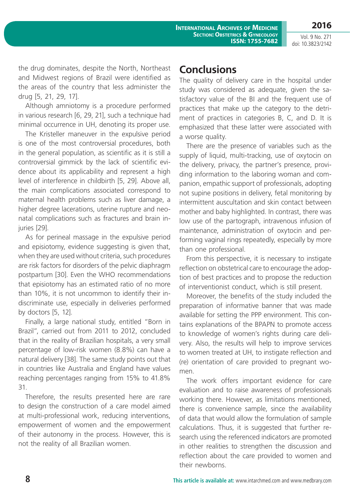**2016**

the drug dominates, despite the North, Northeast and Midwest regions of Brazil were identified as the areas of the country that less administer the drug [5, 21, 29, 17].

Although amniotomy is a procedure performed in various research [6, 29, 21], such a technique had minimal occurrence in UH, denoting its proper use.

The Kristeller maneuver in the expulsive period is one of the most controversial procedures, both in the general population, as scientific as it is still a controversial gimmick by the lack of scientific evidence about its applicability and represent a high level of interference in childbirth [5, 29]. Above all, the main complications associated correspond to maternal health problems such as liver damage, a higher degree lacerations, uterine rupture and neonatal complications such as fractures and brain injuries [29].

As for perineal massage in the expulsive period and episiotomy, evidence suggesting is given that, when they are used without criteria, such procedures are risk factors for disorders of the pelvic diaphragm postpartum [30]. Even the WHO recommendations that episiotomy has an estimated ratio of no more than 10%, it is not uncommon to identify their indiscriminate use, especially in deliveries performed by doctors [5, 12].

Finally, a large national study, entitled "Born in Brazil", carried out from 2011 to 2012, concluded that in the reality of Brazilian hospitals, a very small percentage of low-risk women (8.8%) can have a natural delivery [38]. The same study points out that in countries like Australia and England have values reaching percentages ranging from 15% to 41.8% 31.

Therefore, the results presented here are rare to design the construction of a care model aimed at multi-professional work, reducing interventions, empowerment of women and the empowerment of their autonomy in the process. However, this is not the reality of all Brazilian women.

# **Conclusions**

The quality of delivery care in the hospital under study was considered as adequate, given the satisfactory value of the BI and the frequent use of practices that make up the category to the detriment of practices in categories B, C, and D. It is emphasized that these latter were associated with a worse quality.

There are the presence of variables such as the supply of liquid, multi-tracking, use of oxytocin on the delivery, privacy, the partner's presence, providing information to the laboring woman and companion, empathic support of professionals, adopting not supine positions in delivery, fetal monitoring by intermittent auscultation and skin contact between mother and baby highlighted. In contrast, there was low use of the partograph, intravenous infusion of maintenance, administration of oxytocin and performing vaginal rings repeatedly, especially by more than one professional.

From this perspective, it is necessary to instigate reflection on obstetrical care to encourage the adoption of best practices and to propose the reduction of interventionist conduct, which is still present.

Moreover, the benefits of the study included the preparation of informative banner that was made available for setting the PPP environment. This contains explanations of the BPAPN to promote access to knowledge of women's rights during care delivery. Also, the results will help to improve services to women treated at UH, to instigate reflection and (re) orientation of care provided to pregnant women.

The work offers important evidence for care evaluation and to raise awareness of professionals working there. However, as limitations mentioned, there is convenience sample, since the availability of data that would allow the formulation of sample calculations. Thus, it is suggested that further research using the referenced indicators are promoted in other realities to strengthen the discussion and reflection about the care provided to women and their newborns.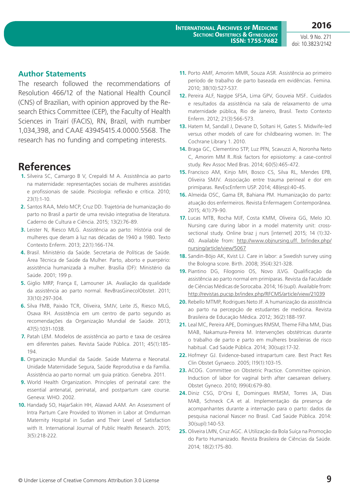#### **Author Statements**

The research followed the recommendations of Resolution 466/12 of the National Health Council (CNS) of Brazilian, with opinion approved by the Research Ethics Committee (CEP), the Faculty of Health Sciences in Trairí (FACIS), RN, Brazil, with number 1,034,398, and CAAE 43945415.4.0000.5568. The research has no funding and competing interests.

### **References**

- **1.** Silveira SC, Camargo B V, Crepaldi M A. Assistência ao parto na maternidade: representações sociais de mulheres assistidas e profissionais de saúde. Psicologia: reflexão e crítica. 2010; 23(1):1-10.
- **2.** Santos RAA, Melo MCP, Cruz DD. Trajetória de humanização do parto no Brasil a partir de uma revisão integrativa de literatura. Caderno de Cultura e Ciência. 2015; 13(2):76-89.
- **3.** Leister N, Riesco MLG. Assistência ao parto: História oral de mulheres que deram à luz nas décadas de 1940 a 1980. Texto Contexto Enferm. 2013; 22(1):166-174.
- **4.** Brasil. Ministério da Saúde. Secretaria de Políticas de Saúde. Área Técnica de Saúde da Mulher. Parto, aborto e puerpério: assistência humanizada à mulher. Brasília (DF): Ministério da Saúde. 2001; 199 p.
- **5.** Giglio MRP, França E, Lamouner JA. Avaliação da qualidade da assistência ao parto normal. RevBrasGinecolObstet. 2011; 33(10):297-304.
- **6.** Silva FMB, Paixão TCR, Oliveira, SMJV, Leite JS, Riesco MLG, Osava RH. Assistência em um centro de parto segundo as recomendações da Organização Mundial de Saúde. 2013; 47(5):1031-1038.
- **7.** Patah LEM. Modelos de assistência ao parto e taxa de cesárea em diferentes países. Revista Saúde Pública. 2011; 45(1):185- 194.
- **8.** Organização Mundial da Saúde. Saúde Materna e Neonatal. Unidade Maternidade Segura, Saúde Reprodutiva e da Família. Assistência ao parto normal: um guia prático. Genebra. 2011.
- **9.** World Health Organization. Principles of perinatal care: the essential antenatal, perinatal, and postpartum care course. Geneva: WHO. 2002.
- **10.** Handady SO, HajarSakin HH, Alawad AAM. An Assessment of Intra Partum Care Provided to Women in Labor at Omdurman Maternity Hospital in Sudan and Their Level of Satisfaction with It. International Journal of Public Health Research. 2015; 3(5):218-222.
- **11.** Porto AMF, Amorim MMR, Souza ASR. Assistência ao primeiro período de trabalho de parto baseada em evidências. Femina. 2010; 38(10):527-537.
- **12.** Pereira ALF, Nagipe SFSA, Lima GPV, Gouveia MSF.. Cuidados e resultados da assistência na sala de relaxamento de uma maternidade pública, Rio de Janeiro, Brasil. Texto Contexto Enferm. 2012; 21(3):566-573.
- **13.** Hatem M, Sandall J, Devane D, Soltani H, Gates S. Midwife-led versus other models of care for childbearing women. In: The Cochrane Library 1. 2010.
- **14.** Braga GC, Clementino STP, Luz PFN, Scavuzzi A, Noronha Neto C, Amorim MM R..Risk factors for episiotomy: a case-control study. Rev Assoc Med Bras. 2014; 60(5):465-472.
- **15.** Francisco AM, Kinjo MH, Bosco CS, Silva RL, Mendes EPB, Oliveira SMJV. Associação entre trauma perineal e dor em primíparas. RevEscEnferm USP. 2014; 48(esp):40-45.
- **16.** Almeida OSC, Gama ER, Bahiana PM. Humanização do parto: atuação dos enfermeiros. Revista Enfermagem Contemporânea. 2015; 4(1):79-90.
- **17.** Lucas MTB, Rocha MJF, Costa KMM, Oliveira GG, Melo JO. Nursing care during labor in a model maternity unit: crosssectional study. Online braz j nurs [internet] 2015; 14 (1):32 40. Available from: [http://www.objnursing.uff. br/index.php/](http://www.objnursing.uff. br/index.php/nursing/article/view/5067) [nursing/article/view/5067](http://www.objnursing.uff. br/index.php/nursing/article/view/5067)
- **18.** Sandin-Böjo AK, Kvist LJ. Care in labor: a Swedish survey using the Bologna score. Birth. 2008; 35(4):321-328.
- **19.** Piantino DG, Filogonio OS, Novo JLVG. Qualificação da assistência ao parto normal em primíparas. Revista da Faculdade de Ciências Médicas de Sorocaba. 2014; 16 (supl). Available from: <http://revistas.pucsp.br/index.php/RFCMS/article/view/21039>
- **20.** Rebello MTMP, Rodrigues Neto JF. A humanização da assistência ao parto na percepção de estudantes de medicina. Revista Brasileira de Educação Médica. 2012; 36(2):188-197.
- **21.** Leal MC, Pereira APE, Domingues RMSM, Theme Filha MM, Dias MAB, Nakamura-Pereira M. Intervenções obstétricas durante o trabalho de parto e parto em mulheres brasileiras de risco habitual. Cad Saúde Pública. 2014; 30(sup):17-32.
- **22.** Hofmeyr GJ. Evidence-based intrapartum care. Best Pract Res Clin Obstet Gynaeco. 2005; l19(1):103-15.
- **23.** ACOG. Committee on Obstetric Practice. Committee opinion. Induction of labor for vaginal birth after caesarean delivery. Obstet Gyneco. 2010; l99(4):679-80.
- **24.** Diniz CSG, D'Orsi E, Domingues RMSM, Torres JA, Dias MAB, Schneck CA et al. Implementação da presença de acompanhantes durante a internação para o parto: dados da pesquisa nacional Nascer no Brasil. Cad Saúde Pública. 2014: 30(supl):140-53.
- **25.** Oliveira LMN, Cruz AGC. A Utilização da Bola Suíça na Promoção do Parto Humanizado. Revista Brasileira de Ciências da Saúde. 2014; 18(2):175-80.